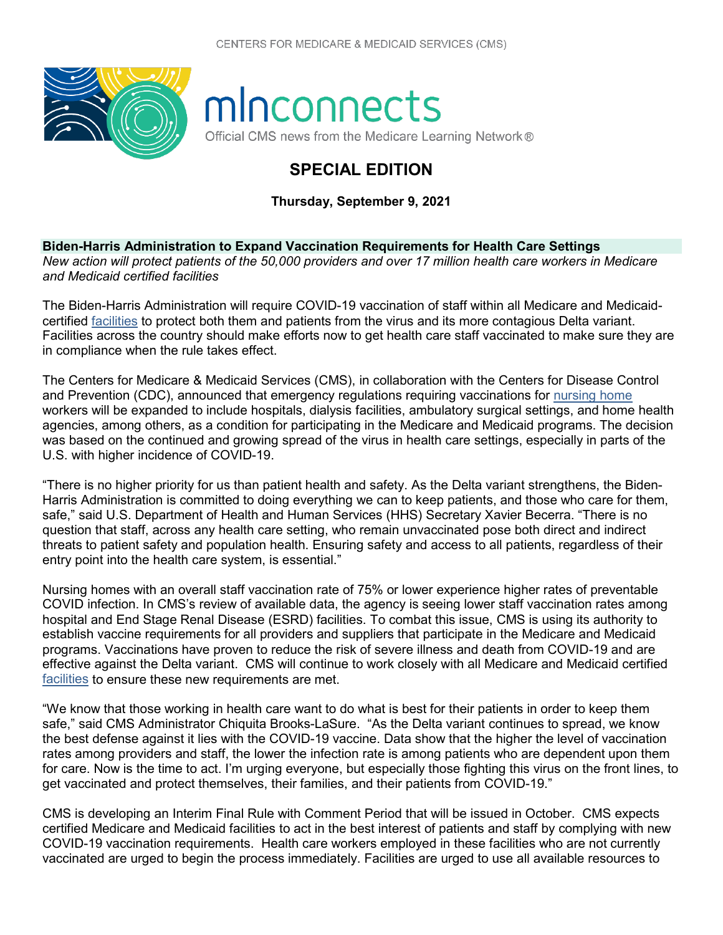

## minconnects

Official CMS news from the Medicare Learning Network®

## **SPECIAL EDITION**

**Thursday, September 9, 2021**

**Biden-Harris Administration to Expand Vaccination Requirements for Health Care Settings** *New action will protect patients of the 50,000 providers and over 17 million health care workers in Medicare and Medicaid certified facilities*

The Biden-Harris Administration will require COVID-19 vaccination of staff within all Medicare and Medicaidcertified [facilities](https://www.cms.gov/Outreach-and-Education/Find-Your-Provider-Type/Facilities/Facilities-page) to protect both them and patients from the virus and its more contagious Delta variant. Facilities across the country should make efforts now to get health care staff vaccinated to make sure they are in compliance when the rule takes effect.

The Centers for Medicare & Medicaid Services (CMS), in collaboration with the Centers for Disease Control and Prevention (CDC), announced that emergency regulations requiring vaccinations for [nursing home](https://www.cms.gov/newsroom/press-releases/biden-harris-administration-takes-additional-action-protect-americas-nursing-home-residents-covid-19) workers will be expanded to include hospitals, dialysis facilities, ambulatory surgical settings, and home health agencies, among others, as a condition for participating in the Medicare and Medicaid programs. The decision was based on the continued and growing spread of the virus in health care settings, especially in parts of the U.S. with higher incidence of COVID-19.

"There is no higher priority for us than patient health and safety. As the Delta variant strengthens, the Biden-Harris Administration is committed to doing everything we can to keep patients, and those who care for them, safe," said U.S. Department of Health and Human Services (HHS) Secretary Xavier Becerra. "There is no question that staff, across any health care setting, who remain unvaccinated pose both direct and indirect threats to patient safety and population health. Ensuring safety and access to all patients, regardless of their entry point into the health care system, is essential."

Nursing homes with an overall staff vaccination rate of 75% or lower experience higher rates of preventable COVID infection. In CMS's review of available data, the agency is seeing lower staff vaccination rates among hospital and End Stage Renal Disease (ESRD) facilities. To combat this issue, CMS is using its authority to establish vaccine requirements for all providers and suppliers that participate in the Medicare and Medicaid programs. Vaccinations have proven to reduce the risk of severe illness and death from COVID-19 and are effective against the Delta variant. CMS will continue to work closely with all Medicare and Medicaid certified [facilities](https://www.cms.gov/Outreach-and-Education/Find-Your-Provider-Type/Facilities/Facilities-page) to ensure these new requirements are met.

"We know that those working in health care want to do what is best for their patients in order to keep them safe," said CMS Administrator Chiquita Brooks-LaSure. "As the Delta variant continues to spread, we know the best defense against it lies with the COVID-19 vaccine. Data show that the higher the level of vaccination rates among providers and staff, the lower the infection rate is among patients who are dependent upon them for care. Now is the time to act. I'm urging everyone, but especially those fighting this virus on the front lines, to get vaccinated and protect themselves, their families, and their patients from COVID-19."

CMS is developing an Interim Final Rule with Comment Period that will be issued in October. CMS expects certified Medicare and Medicaid facilities to act in the best interest of patients and staff by complying with new COVID-19 vaccination requirements. Health care workers employed in these facilities who are not currently vaccinated are urged to begin the process immediately. Facilities are urged to use all available resources to